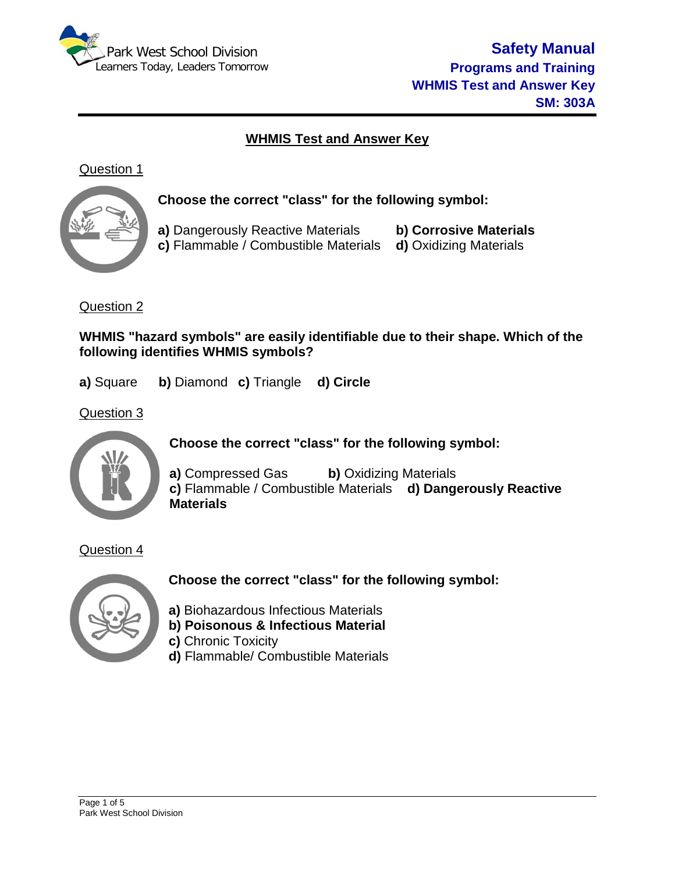

# **WHMIS Test and Answer Key**

## Question 1



**Choose the correct "class" for the following symbol:**

**a)** Dangerously Reactive Materials **b) Corrosive Materials c)** Flammable / Combustible Materials

## Question 2

**WHMIS "hazard symbols" are easily identifiable due to their shape. Which of the following identifies WHMIS symbols?**

**a)** Square **b)** Diamond **c)** Triangle **d) Circle**

Question 3



**Choose the correct "class" for the following symbol:**

**a)** Compressed Gas **b)** Oxidizing Materials **c)** Flammable / Combustible Materials **d) Dangerously Reactive Materials**

Question 4



**Choose the correct "class" for the following symbol:**

**a)** Biohazardous Infectious Materials **b) Poisonous & Infectious Material**

- 
- **c)** Chronic Toxicity
- **d)** Flammable/ Combustible Materials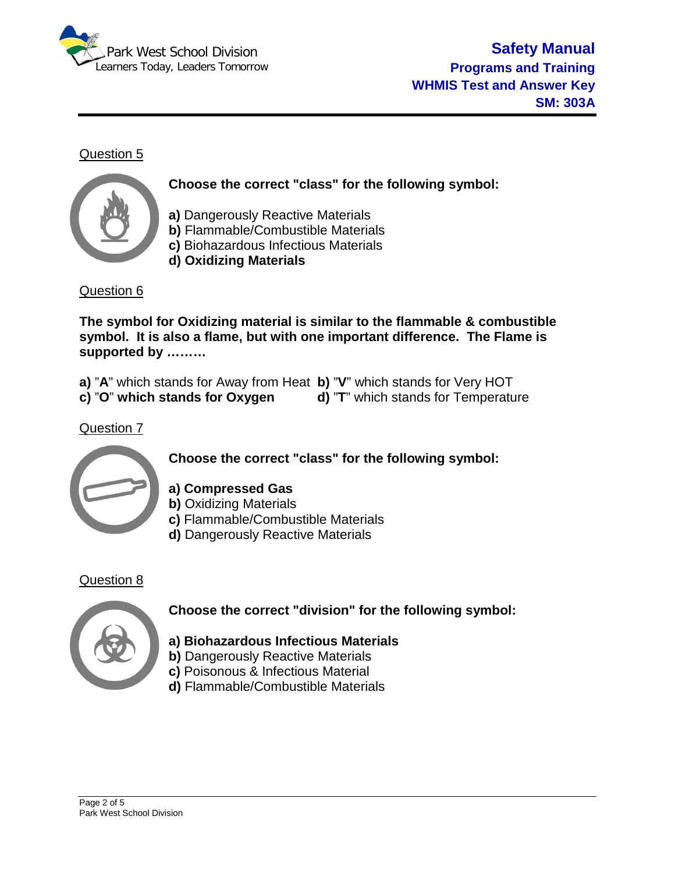



**Choose the correct "class" for the following symbol:**

**a)** Dangerously Reactive Materials **b)** Flammable/Combustible Materials **c)** Biohazardous Infectious Materials **d) Oxidizing Materials**

Question 6

**The symbol for Oxidizing material is similar to the flammable & combustible symbol. It is also a flame, but with one important difference. The Flame is supported by ………**

**a)** "**A**" which stands for Away from Heat **b)** "**V**" which stands for Very HOT

**c)** "O" which stands for Oxygen

Question 7



**Choose the correct "class" for the following symbol:**

**a) Compressed Gas**

- **b)** Oxidizing Materials
- **c)** Flammable/Combustible Materials
- **d)** Dangerously Reactive Materials

### Question 8



## **Choose the correct "division" for the following symbol:**

- **a) Biohazardous Infectious Materials**
- **b)** Dangerously Reactive Materials
- **c)** Poisonous & Infectious Material
- **d)** Flammable/Combustible Materials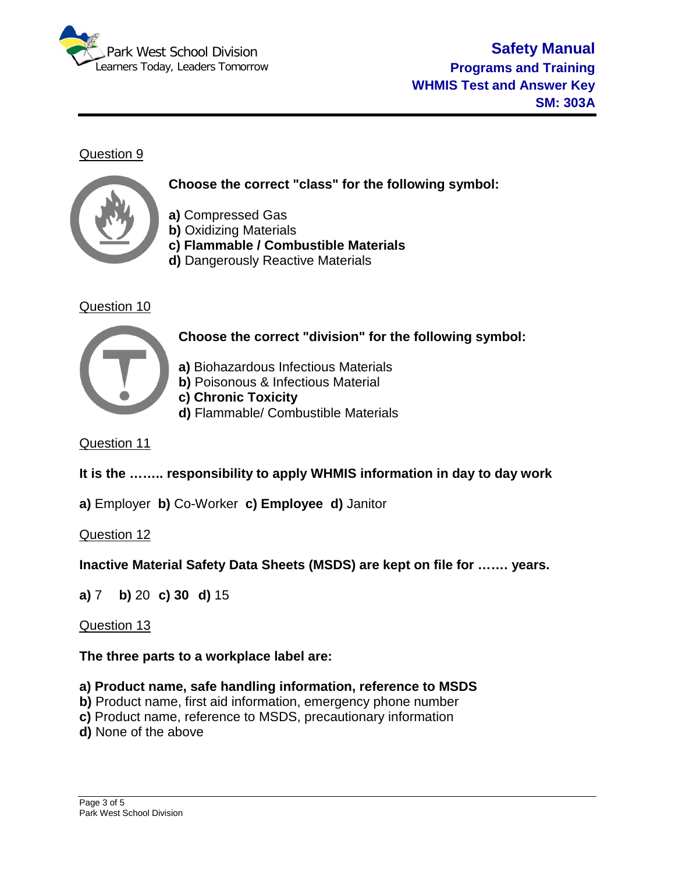



**Choose the correct "class" for the following symbol:**

- **a)** Compressed Gas
- **b)** Oxidizing Materials
- **c) Flammable / Combustible Materials**
- **d)** Dangerously Reactive Materials

# Question 10



**Choose the correct "division" for the following symbol:**

**a)** Biohazardous Infectious Materials **b)** Poisonous & Infectious Material

**c) Chronic Toxicity**

**d)** Flammable/ Combustible Materials

Question 11

# **It is the …….. responsibility to apply WHMIS information in day to day work**

**a)** Employer **b)** Co-Worker **c) Employee d)** Janitor

Question 12

**Inactive Material Safety Data Sheets (MSDS) are kept on file for ……. years.**

**a)** 7 **b)** 20 **c) 30 d)** 15

## Question 13

## **The three parts to a workplace label are:**

## **a) Product name, safe handling information, reference to MSDS**

- **b)** Product name, first aid information, emergency phone number
- **c)** Product name, reference to MSDS, precautionary information
- **d)** None of the above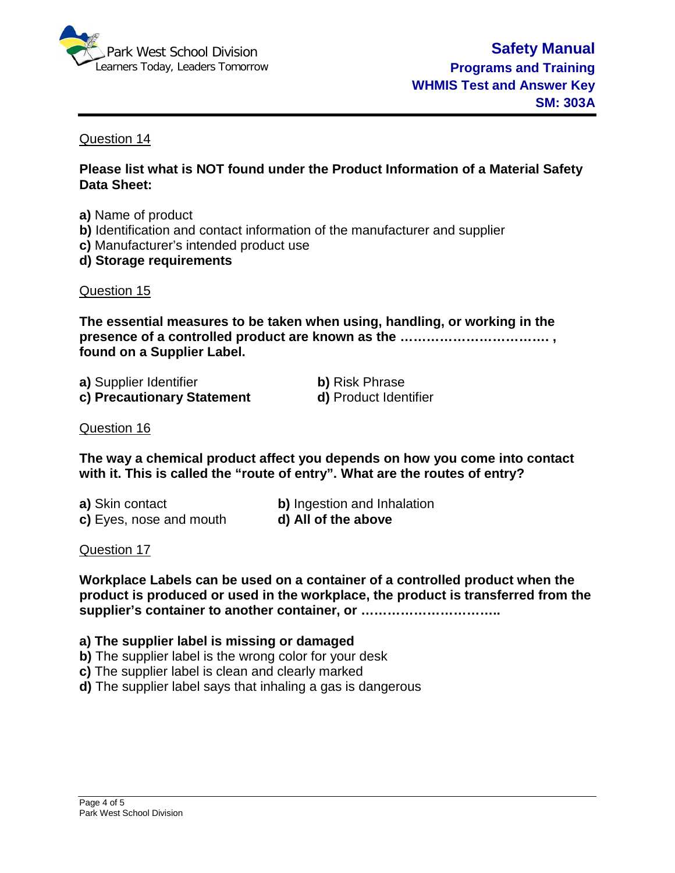

**Please list what is NOT found under the Product Information of a Material Safety Data Sheet:**

- **a)** Name of product
- **b)** Identification and contact information of the manufacturer and supplier
- **c)** Manufacturer's intended product use
- **d) Storage requirements**

#### Question 15

**The essential measures to be taken when using, handling, or working in the presence of a controlled product are known as the ……………………………. , found on a Supplier Label.**

| a) Supplier Identifier     |
|----------------------------|
| c) Precautionary Statement |

**b)** Risk Phrase **d)** Product Identifier

#### Question 16

**The way a chemical product affect you depends on how you come into contact with it. This is called the "route of entry". What are the routes of entry?**

**a)** Skin contact **b)** Ingestion and Inhalation **c)** Eyes, nose and mouth **d) All of the above**

#### Question 17

**Workplace Labels can be used on a container of a controlled product when the product is produced or used in the workplace, the product is transferred from the supplier's container to another container, or …………………………..**

#### **a) The supplier label is missing or damaged**

- **b)** The supplier label is the wrong color for your desk
- **c)** The supplier label is clean and clearly marked
- **d)** The supplier label says that inhaling a gas is dangerous